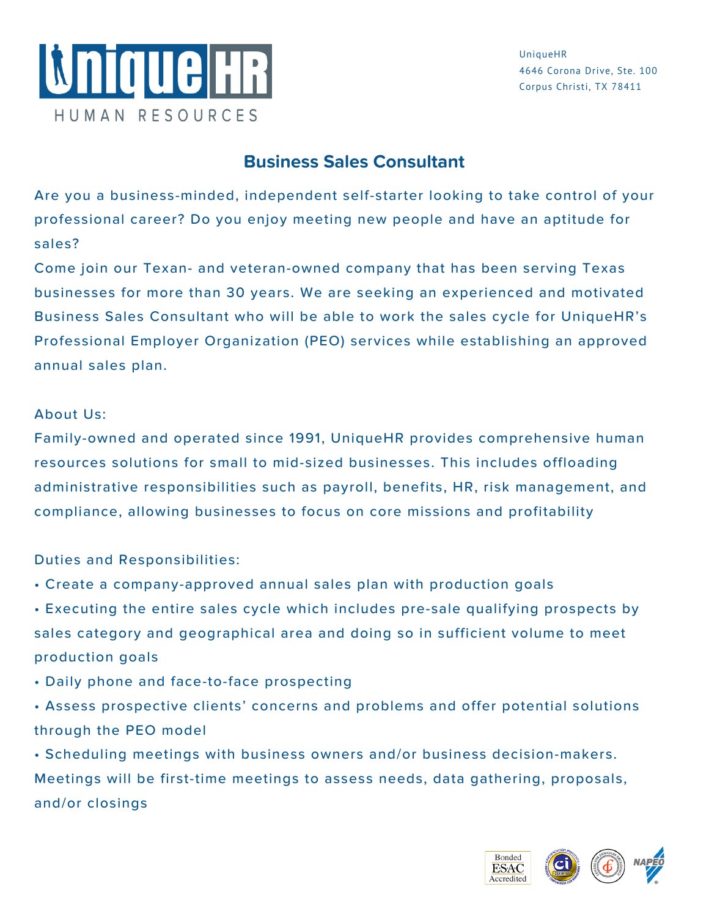

UniqueHR 4646 Corona Drive, Ste. 100 Corpus Christi, TX 78411

## **Business Sales Consultant**

Are you a business-minded, independent self-starter looking to take control of your professional career? Do you enjoy meeting new people and have an aptitude for sales?

Come join our Texan- and veteran-owned company that has been serving Texas businesses for more than 30 years. We are seeking an experienced and motivated Business Sales Consultant who will be able to work the sales cycle for UniqueHR's Professional Employer Organization (PEO) services while establishing an approved annual sales plan.

## About Us:

Family-owned and operated since 1991, UniqueHR provides comprehensive human resources solutions for small to mid-sized businesses. This includes offloading administrative responsibilities such as payroll, benefits, HR, risk management, and compliance, allowing businesses to focus on core missions and profitability

Duties and Responsibilities:

- Create a company-approved annual sales plan with production goals
- Executing the entire sales cycle which includes pre-sale qualifying prospects by sales category and geographical area and doing so in sufficient volume to meet production goals
- Daily phone and face-to-face prospecting
- Assess prospective clients' concerns and problems and offer potential solutions through the PEO model

• Scheduling meetings with business owners and/or business decision-makers. Meetings will be first-time meetings to assess needs, data gathering, proposals, and/or closings